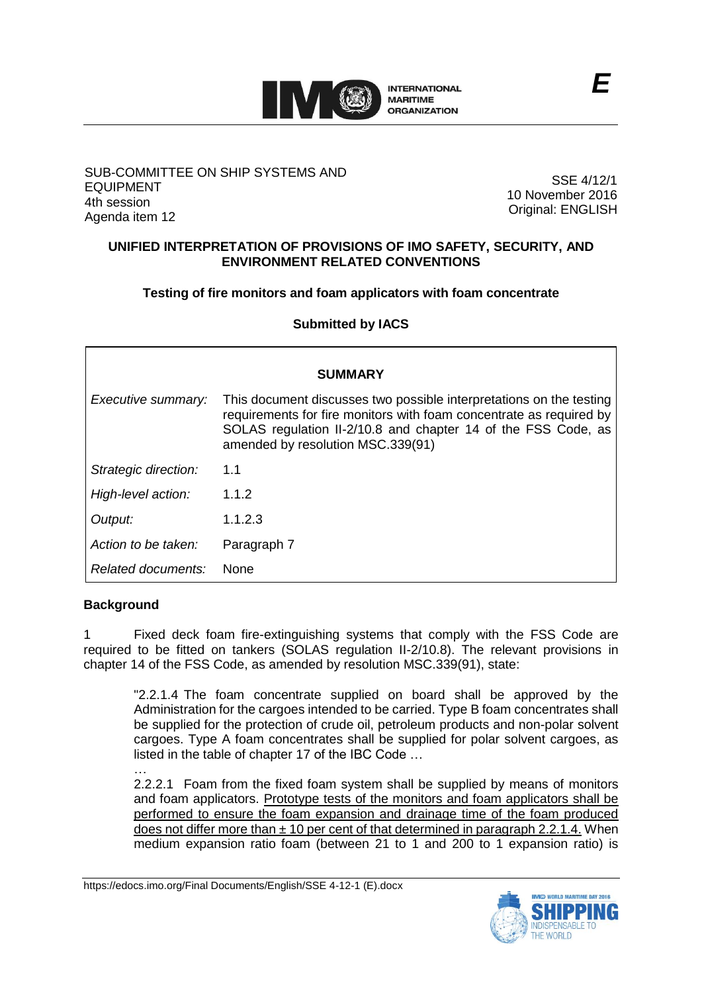

### SUB-COMMITTEE ON SHIP SYSTEMS AND EQUIPMENT 4th session Agenda item 12

SSE 4/12/1 10 November 2016 Original: ENGLISH

## **UNIFIED INTERPRETATION OF PROVISIONS OF IMO SAFETY, SECURITY, AND ENVIRONMENT RELATED CONVENTIONS**

**Testing of fire monitors and foam applicators with foam concentrate**

**Submitted by IACS**

| <b>SUMMARY</b>       |                                                                                                                                                                                                                                                  |
|----------------------|--------------------------------------------------------------------------------------------------------------------------------------------------------------------------------------------------------------------------------------------------|
| Executive summary:   | This document discusses two possible interpretations on the testing<br>requirements for fire monitors with foam concentrate as required by<br>SOLAS regulation II-2/10.8 and chapter 14 of the FSS Code, as<br>amended by resolution MSC.339(91) |
| Strategic direction: | 1.1                                                                                                                                                                                                                                              |
| High-level action:   | 1.1.2                                                                                                                                                                                                                                            |
| Output:              | 1.1.2.3                                                                                                                                                                                                                                          |
| Action to be taken:  | Paragraph 7                                                                                                                                                                                                                                      |
| Related documents:   | <b>None</b>                                                                                                                                                                                                                                      |

# **Background**

1 Fixed deck foam fire-extinguishing systems that comply with the FSS Code are required to be fitted on tankers (SOLAS regulation II-2/10.8). The relevant provisions in chapter 14 of the FSS Code, as amended by resolution MSC.339(91), state:

"2.2.1.4 The foam concentrate supplied on board shall be approved by the Administration for the cargoes intended to be carried. Type B foam concentrates shall be supplied for the protection of crude oil, petroleum products and non-polar solvent cargoes. Type A foam concentrates shall be supplied for polar solvent cargoes, as listed in the table of chapter 17 of the IBC Code …

… 2.2.2.1 Foam from the fixed foam system shall be supplied by means of monitors and foam applicators. Prototype tests of the monitors and foam applicators shall be performed to ensure the foam expansion and drainage time of the foam produced does not differ more than  $\pm$  10 per cent of that determined in paragraph 2.2.1.4. When medium expansion ratio foam (between 21 to 1 and 200 to 1 expansion ratio) is